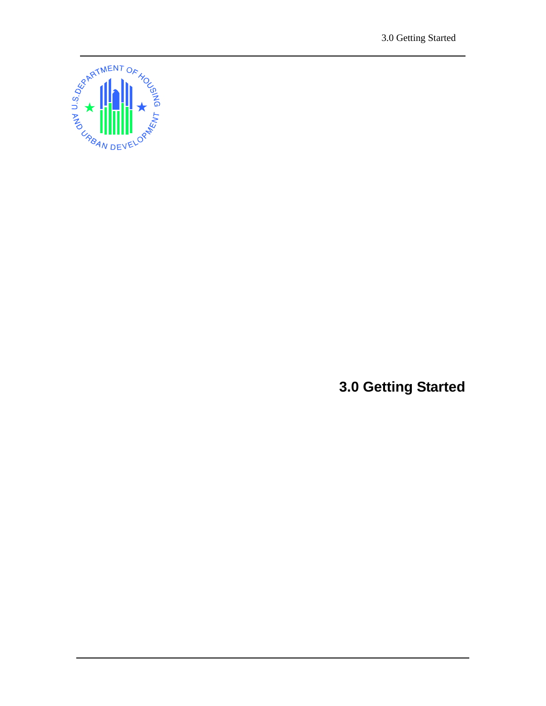3.0 Getting Started



**3.0 Getting Started**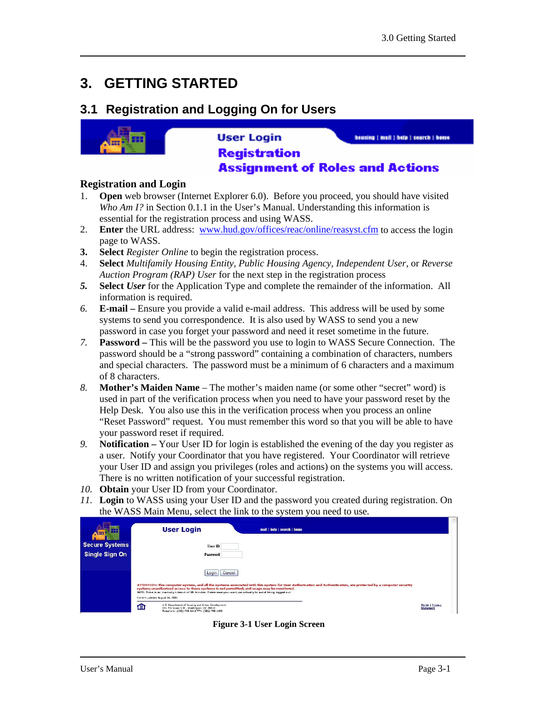# **3. GETTING STARTED**

### **3.1 Registration and Logging On for Users**



#### **User Login** housing | mail | hole | search | home **Registration Assignment of Roles and Actions**

#### **Registration and Login**

- 1. **Open** web browser (Internet Explorer 6.0). Before you proceed, you should have visited *Who Am I?* in Section 0.1.1 in the User's Manual. Understanding this information is essential for the registration process and using WASS.
- 2. **Enter** the URL address: www.hud.gov/offices/reac/online/reasyst.cfm to access the login page to WASS.
- **3. Select** *Register Online* to begin the registration process.
- 4. **Select** *Multifamily Housing Entity, Public Housing Agency, Independent User,* or *Reverse Auction Program (RAP) User* for the next step in the registration process
- *5.* **Select** *User* for the Application Type and complete the remainder of the information. All information is required.
- *6.* **E-mail** Ensure you provide a valid e-mail address. This address will be used by some systems to send you correspondence. It is also used by WASS to send you a new password in case you forget your password and need it reset sometime in the future.
- *7.* **Password** This will be the password you use to login to WASS Secure Connection. The password should be a "strong password" containing a combination of characters, numbers and special characters. The password must be a minimum of 6 characters and a maximum of 8 characters.
- *8.* **Mother's Maiden Name**  The mother's maiden name (or some other "secret" word) is used in part of the verification process when you need to have your password reset by the Help Desk. You also use this in the verification process when you process an online "Reset Password" request. You must remember this word so that you will be able to have your password reset if required.
- *9.* **Notification** Your User ID for login is established the evening of the day you register as a user. Notify your Coordinator that you have registered. Your Coordinator will retrieve your User ID and assign you privileges (roles and actions) on the systems you will access. There is no written notification of your successful registration.
- *10.* **Obtain** your User ID from your Coordinator.
- *11.* **Login** to WASS using your User ID and the password you created during registration. On the WASS Main Menu, select the link to the system you need to use.

| <b>FEB</b><br>$\sim$  | <b>User Login</b><br>mail   help   search   home                                                                                                                                                                                                                                                                                                                                                                                             |                                    |
|-----------------------|----------------------------------------------------------------------------------------------------------------------------------------------------------------------------------------------------------------------------------------------------------------------------------------------------------------------------------------------------------------------------------------------------------------------------------------------|------------------------------------|
| <b>Secure Systems</b> | User ID                                                                                                                                                                                                                                                                                                                                                                                                                                      |                                    |
| Single Sign On        | Password                                                                                                                                                                                                                                                                                                                                                                                                                                     |                                    |
|                       | I Login I<br>Cancel<br>ATTENTION: This computer system, and all the systems associated with this system for User Authorization and Authentication, are protected by a computer security<br>system; unauthorized access to these systems is not permitted; and usage may be monitored.<br>NOTE: There is an inactivity timeout of 30 minutes. Please save your work periodically to avoid being logged out<br>Cantent updated August 26, 2005 |                                    |
|                       | U.S. Department of Housing and Urban Development<br>≏<br>451 7th Street S.W., Washington, DC 20410<br>Telephane: (202) 708-1112 TTY: (202) 708-1455                                                                                                                                                                                                                                                                                          | <b>Home   Privacy</b><br>Statement |

**Figure 3-1 User Login Screen**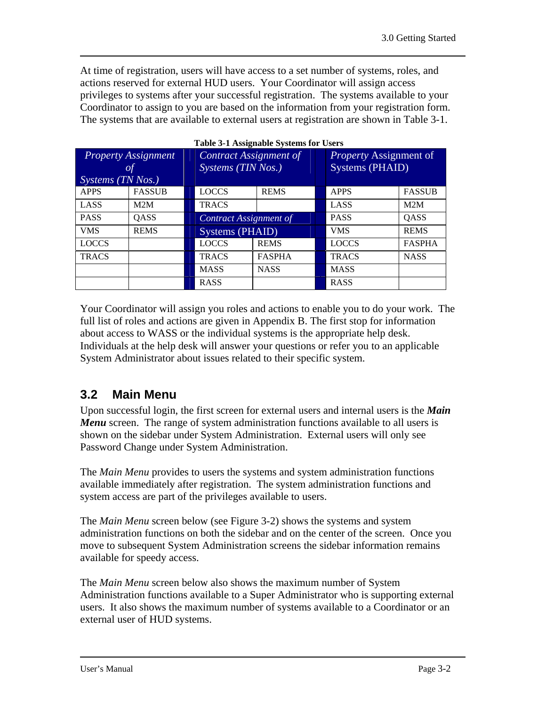At time of registration, users will have access to a set number of systems, roles, and actions reserved for external HUD users. Your Coordinator will assign access privileges to systems after your successful registration. The systems available to your Coordinator to assign to you are based on the information from your registration form. The systems that are available to external users at registration are shown in Table 3-1.

| <b>Property Assignment</b><br><b>of</b><br>$SY$ stems (TN Nos.) |               | Contract Assignment of<br>Systems (TIN Nos.) |                        |              | Property Assignment of<br><b>Systems (PHAID)</b> |               |
|-----------------------------------------------------------------|---------------|----------------------------------------------|------------------------|--------------|--------------------------------------------------|---------------|
| <b>APPS</b>                                                     | <b>FASSUB</b> | <b>LOCCS</b>                                 | <b>REMS</b>            | <b>APPS</b>  |                                                  | <b>FASSUB</b> |
| <b>LASS</b>                                                     | M2M           | <b>TRACS</b>                                 |                        |              | LASS<br>M2M                                      |               |
| <b>PASS</b>                                                     | QASS          |                                              | Contract Assignment of |              | <b>PASS</b>                                      | QASS          |
| <b>VMS</b>                                                      | <b>REMS</b>   |                                              | Systems (PHAID)        |              | <b>VMS</b>                                       | <b>REMS</b>   |
| <b>LOCCS</b>                                                    |               | <b>LOCCS</b>                                 | <b>REMS</b>            | <b>LOCCS</b> |                                                  | <b>FASPHA</b> |
| <b>TRACS</b>                                                    |               | <b>TRACS</b>                                 | <b>FASPHA</b>          | <b>TRACS</b> |                                                  | <b>NASS</b>   |
|                                                                 |               | <b>MASS</b>                                  | <b>NASS</b>            | <b>MASS</b>  |                                                  |               |
|                                                                 |               | <b>RASS</b>                                  |                        | <b>RASS</b>  |                                                  |               |

Your Coordinator will assign you roles and actions to enable you to do your work. The full list of roles and actions are given in Appendix B. The first stop for information about access to WASS or the individual systems is the appropriate help desk. Individuals at the help desk will answer your questions or refer you to an applicable System Administrator about issues related to their specific system.

### **3.2 Main Menu**

Upon successful login, the first screen for external users and internal users is the *Main Menu* screen. The range of system administration functions available to all users is shown on the sidebar under System Administration. External users will only see Password Change under System Administration.

The *Main Menu* provides to users the systems and system administration functions available immediately after registration. The system administration functions and system access are part of the privileges available to users.

The *Main Menu* screen below (see Figure 3-2) shows the systems and system administration functions on both the sidebar and on the center of the screen. Once you move to subsequent System Administration screens the sidebar information remains available for speedy access.

The *Main Menu* screen below also shows the maximum number of System Administration functions available to a Super Administrator who is supporting external users. It also shows the maximum number of systems available to a Coordinator or an external user of HUD systems.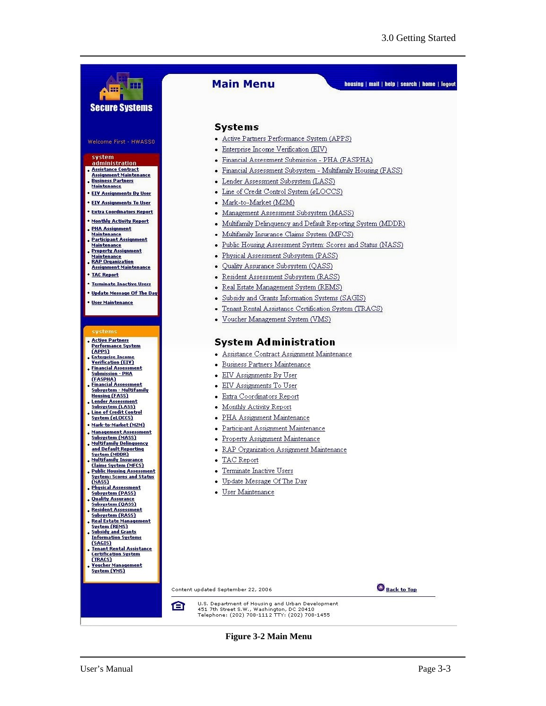

#### **Figure 3-2 Main Menu**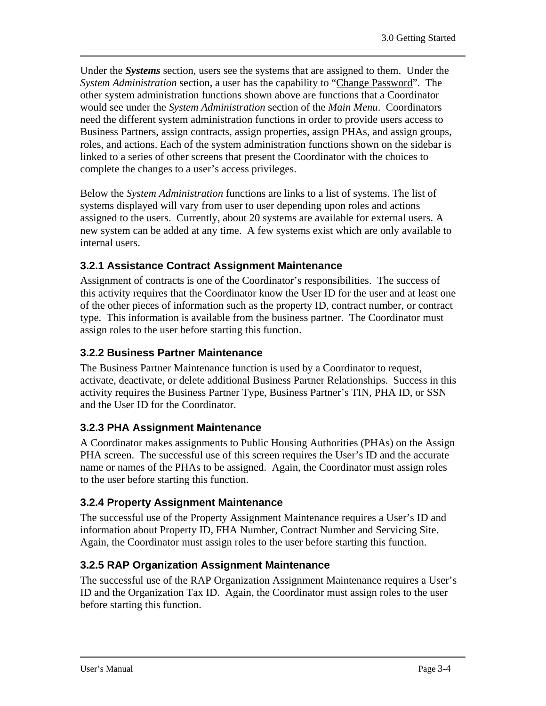Under the *Systems* section, users see the systems that are assigned to them. Under the *System Administration* section, a user has the capability to "Change Password". The other system administration functions shown above are functions that a Coordinator would see under the *System Administration* section of the *Main Menu*. Coordinators need the different system administration functions in order to provide users access to Business Partners, assign contracts, assign properties, assign PHAs, and assign groups, roles, and actions. Each of the system administration functions shown on the sidebar is linked to a series of other screens that present the Coordinator with the choices to complete the changes to a user's access privileges.

Below the *System Administration* functions are links to a list of systems. The list of systems displayed will vary from user to user depending upon roles and actions assigned to the users. Currently, about 20 systems are available for external users. A new system can be added at any time. A few systems exist which are only available to internal users.

#### **3.2.1 Assistance Contract Assignment Maintenance**

Assignment of contracts is one of the Coordinator's responsibilities. The success of this activity requires that the Coordinator know the User ID for the user and at least one of the other pieces of information such as the property ID, contract number, or contract type. This information is available from the business partner. The Coordinator must assign roles to the user before starting this function.

#### **3.2.2 Business Partner Maintenance**

The Business Partner Maintenance function is used by a Coordinator to request, activate, deactivate, or delete additional Business Partner Relationships. Success in this activity requires the Business Partner Type, Business Partner's TIN, PHA ID, or SSN and the User ID for the Coordinator.

#### **3.2.3 PHA Assignment Maintenance**

A Coordinator makes assignments to Public Housing Authorities (PHAs) on the Assign PHA screen. The successful use of this screen requires the User's ID and the accurate name or names of the PHAs to be assigned. Again, the Coordinator must assign roles to the user before starting this function.

### **3.2.4 Property Assignment Maintenance**

The successful use of the Property Assignment Maintenance requires a User's ID and information about Property ID, FHA Number, Contract Number and Servicing Site. Again, the Coordinator must assign roles to the user before starting this function.

### **3.2.5 RAP Organization Assignment Maintenance**

The successful use of the RAP Organization Assignment Maintenance requires a User's ID and the Organization Tax ID. Again, the Coordinator must assign roles to the user before starting this function.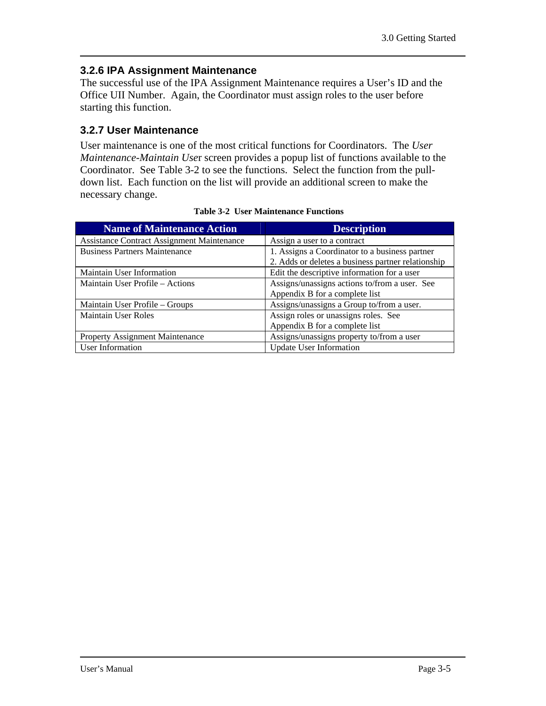#### **3.2.6 IPA Assignment Maintenance**

The successful use of the IPA Assignment Maintenance requires a User's ID and the Office UII Number. Again, the Coordinator must assign roles to the user before starting this function.

#### **3.2.7 User Maintenance**

User maintenance is one of the most critical functions for Coordinators. The *User Maintenance-Maintain Use*r screen provides a popup list of functions available to the Coordinator. See Table 3-2 to see the functions. Select the function from the pulldown list. Each function on the list will provide an additional screen to make the necessary change.

| <b>Name of Maintenance Action</b>                 | <b>Description</b>                                                                                   |
|---------------------------------------------------|------------------------------------------------------------------------------------------------------|
| <b>Assistance Contract Assignment Maintenance</b> | Assign a user to a contract                                                                          |
| <b>Business Partners Maintenance</b>              | 1. Assigns a Coordinator to a business partner<br>2. Adds or deletes a business partner relationship |
| Maintain User Information                         | Edit the descriptive information for a user                                                          |
| Maintain User Profile – Actions                   | Assigns/unassigns actions to/from a user. See<br>Appendix B for a complete list                      |
| Maintain User Profile – Groups                    | Assigns/unassigns a Group to/from a user.                                                            |
| <b>Maintain User Roles</b>                        | Assign roles or unassigns roles. See<br>Appendix B for a complete list                               |
| <b>Property Assignment Maintenance</b>            | Assigns/unassigns property to/from a user                                                            |
| User Information                                  | <b>Update User Information</b>                                                                       |

**Table 3-2 User Maintenance Functions**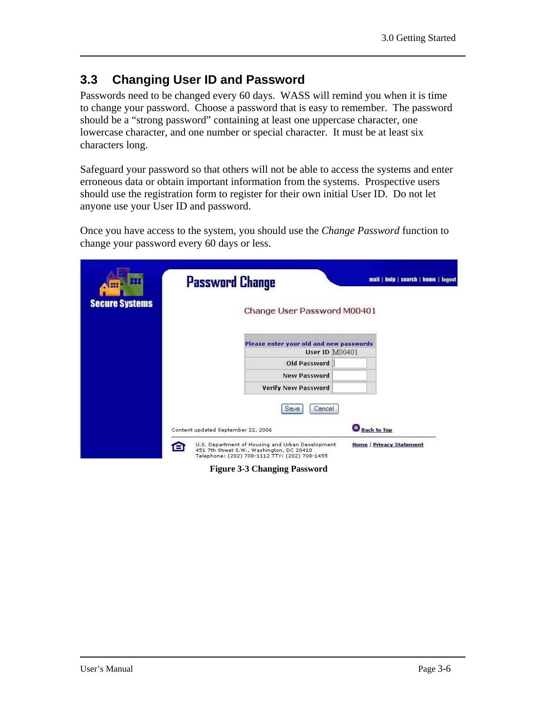### **3.3 Changing User ID and Password**

Passwords need to be changed every 60 days. WASS will remind you when it is time to change your password. Choose a password that is easy to remember. The password should be a "strong password" containing at least one uppercase character, one lowercase character, and one number or special character. It must be at least six characters long.

Safeguard your password so that others will not be able to access the systems and enter erroneous data or obtain important information from the systems. Prospective users should use the registration form to register for their own initial User ID. Do not let anyone use your User ID and password.

Once you have access to the system, you should use the *Change Password* function to change your password every 60 days or less.

| HН<br>H.<br><b>Secure Systems</b> | <b>Password Change</b>                                                                                                                                                                    | Change User Password M00401             |                                                       | mail   help   search   home   logout |
|-----------------------------------|-------------------------------------------------------------------------------------------------------------------------------------------------------------------------------------------|-----------------------------------------|-------------------------------------------------------|--------------------------------------|
|                                   |                                                                                                                                                                                           | Please enter your old and new passwords |                                                       |                                      |
|                                   |                                                                                                                                                                                           |                                         | User ID M00401                                        |                                      |
|                                   |                                                                                                                                                                                           | Old Password                            |                                                       |                                      |
|                                   |                                                                                                                                                                                           | <b>New Password</b>                     |                                                       |                                      |
|                                   |                                                                                                                                                                                           | <b>Verify New Password</b>              |                                                       |                                      |
|                                   |                                                                                                                                                                                           | Cancel<br>Save                          |                                                       |                                      |
|                                   |                                                                                                                                                                                           |                                         |                                                       |                                      |
|                                   | Content updated September 22, 2006<br>U.S. Department of Housing and Urban Development<br>8<br>451 7th Street S.W., Washington, DC 20410<br>Telephone: (202) 708-1112 TTY: (202) 708-1455 |                                         | <b>Back to Top</b><br><b>Home   Privacy Statement</b> |                                      |

**Figure 3-3 Changing Password**